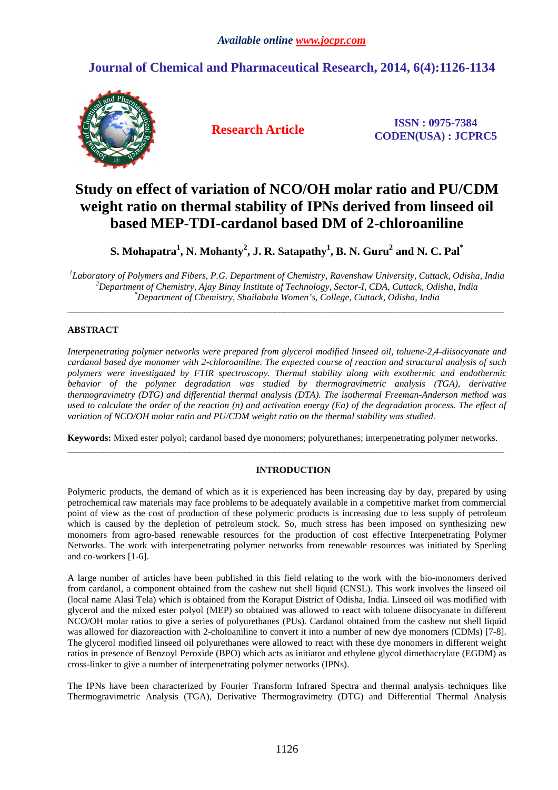## **Journal of Chemical and Pharmaceutical Research, 2014, 6(4):1126-1134**



**Research Article ISSN : 0975-7384 CODEN(USA) : JCPRC5**

# **Study on effect of variation of NCO/OH molar ratio and PU/CDM weight ratio on thermal stability of IPNs derived from linseed oil based MEP-TDI-cardanol based DM of 2-chloroaniline**

**S. Mohapatra<sup>1</sup> , N. Mohanty<sup>2</sup> , J. R. Satapathy<sup>1</sup> , B. N. Guru<sup>2</sup> and N. C. Pal\*** 

*1 Laboratory of Polymers and Fibers, P.G. Department of Chemistry, Ravenshaw University, Cuttack, Odisha, India <sup>2</sup>Department of Chemistry, Ajay Binay Institute of Technology, Sector-I, CDA, Cuttack, Odisha, India \*Department of Chemistry, Shailabala Women's, College, Cuttack, Odisha, India* 

\_\_\_\_\_\_\_\_\_\_\_\_\_\_\_\_\_\_\_\_\_\_\_\_\_\_\_\_\_\_\_\_\_\_\_\_\_\_\_\_\_\_\_\_\_\_\_\_\_\_\_\_\_\_\_\_\_\_\_\_\_\_\_\_\_\_\_\_\_\_\_\_\_\_\_\_\_\_\_\_\_\_\_\_\_\_\_\_\_\_\_\_\_\_\_\_\_

## **ABSTRACT**

*Interpenetrating polymer networks were prepared from glycerol modified linseed oil, toluene-2,4-diisocyanate and cardanol based dye monomer with 2-chloroaniline. The expected course of reaction and structural analysis of such polymers were investigated by FTIR spectroscopy. Thermal stability along with exothermic and endothermic behavior of the polymer degradation was studied by thermogravimetric analysis (TGA), derivative thermogravimetry (DTG) and differential thermal analysis (DTA). The isothermal Freeman-Anderson method was used to calculate the order of the reaction (n) and activation energy (Ea) of the degradation process. The effect of variation of NCO/OH molar ratio and PU/CDM weight ratio on the thermal stability was studied.* 

**Keywords:** Mixed ester polyol; cardanol based dye monomers; polyurethanes; interpenetrating polymer networks. \_\_\_\_\_\_\_\_\_\_\_\_\_\_\_\_\_\_\_\_\_\_\_\_\_\_\_\_\_\_\_\_\_\_\_\_\_\_\_\_\_\_\_\_\_\_\_\_\_\_\_\_\_\_\_\_\_\_\_\_\_\_\_\_\_\_\_\_\_\_\_\_\_\_\_\_\_\_\_\_\_\_\_\_\_\_\_\_\_\_\_\_\_\_\_\_\_

## **INTRODUCTION**

Polymeric products, the demand of which as it is experienced has been increasing day by day, prepared by using petrochemical raw materials may face problems to be adequately available in a competitive market from commercial point of view as the cost of production of these polymeric products is increasing due to less supply of petroleum which is caused by the depletion of petroleum stock. So, much stress has been imposed on synthesizing new monomers from agro-based renewable resources for the production of cost effective Interpenetrating Polymer Networks. The work with interpenetrating polymer networks from renewable resources was initiated by Sperling and co-workers [1-6].

A large number of articles have been published in this field relating to the work with the bio-monomers derived from cardanol, a component obtained from the cashew nut shell liquid (CNSL). This work involves the linseed oil (local name Alasi Tela) which is obtained from the Koraput District of Odisha, India. Linseed oil was modified with glycerol and the mixed ester polyol (MEP) so obtained was allowed to react with toluene diisocyanate in different NCO/OH molar ratios to give a series of polyurethanes (PUs). Cardanol obtained from the cashew nut shell liquid was allowed for diazoreaction with 2-choloaniline to convert it into a number of new dye monomers (CDMs) [7-8]. The glycerol modified linseed oil polyurethanes were allowed to react with these dye monomers in different weight ratios in presence of Benzoyl Peroxide (BPO) which acts as initiator and ethylene glycol dimethacrylate (EGDM) as cross-linker to give a number of interpenetrating polymer networks (IPNs).

The IPNs have been characterized by Fourier Transform Infrared Spectra and thermal analysis techniques like Thermogravimetric Analysis (TGA), Derivative Thermogravimetry (DTG) and Differential Thermal Analysis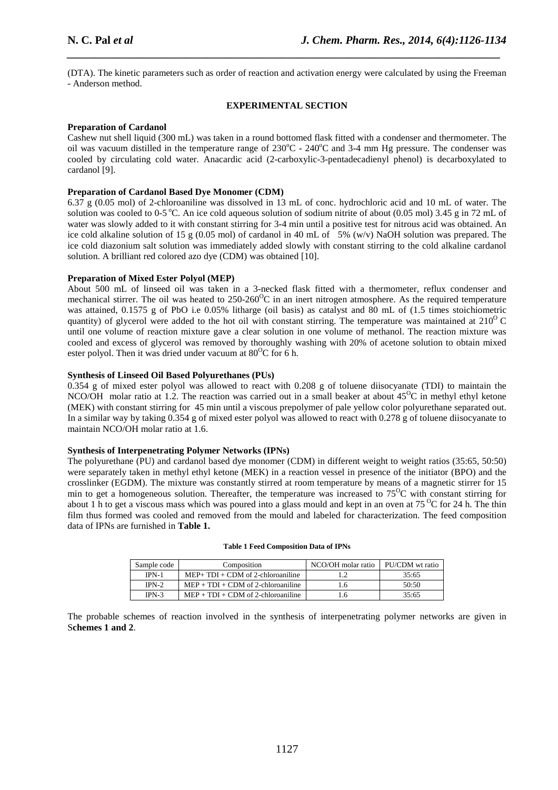(DTA). The kinetic parameters such as order of reaction and activation energy were calculated by using the Freeman - Anderson method.

*\_\_\_\_\_\_\_\_\_\_\_\_\_\_\_\_\_\_\_\_\_\_\_\_\_\_\_\_\_\_\_\_\_\_\_\_\_\_\_\_\_\_\_\_\_\_\_\_\_\_\_\_\_\_\_\_\_\_\_\_\_\_\_\_\_\_\_\_\_\_\_\_\_\_\_\_\_*

#### **EXPERIMENTAL SECTION**

## **Preparation of Cardanol**

Cashew nut shell liquid (300 mL) was taken in a round bottomed flask fitted with a condenser and thermometer. The oil was vacuum distilled in the temperature range of 230°C - 240°C and 3-4 mm Hg pressure. The condenser was cooled by circulating cold water. Anacardic acid (2-carboxylic-3-pentadecadienyl phenol) is decarboxylated to cardanol [9].

#### **Preparation of Cardanol Based Dye Monomer (CDM)**

6.37 g (0.05 mol) of 2-chloroaniline was dissolved in 13 mL of conc. hydrochloric acid and 10 mL of water. The solution was cooled to 0-5 °C. An ice cold aqueous solution of sodium nitrite of about (0.05 mol) 3.45 g in 72 mL of water was slowly added to it with constant stirring for 3-4 min until a positive test for nitrous acid was obtained. An ice cold alkaline solution of 15 g (0.05 mol) of cardanol in 40 mL of 5% (w/v) NaOH solution was prepared. The ice cold diazonium salt solution was immediately added slowly with constant stirring to the cold alkaline cardanol solution. A brilliant red colored azo dye (CDM) was obtained [10].

#### **Preparation of Mixed Ester Polyol (MEP)**

About 500 mL of linseed oil was taken in a 3-necked flask fitted with a thermometer, reflux condenser and mechanical stirrer. The oil was heated to  $250{\cdot}260^{\circ}$ C in an inert nitrogen atmosphere. As the required temperature was attained, 0.1575 g of PbO i.e 0.05% litharge (oil basis) as catalyst and 80 mL of (1.5 times stoichiometric quantity) of glycerol were added to the hot oil with constant stirring. The temperature was maintained at  $210^{\circ}$ C until one volume of reaction mixture gave a clear solution in one volume of methanol. The reaction mixture was cooled and excess of glycerol was removed by thoroughly washing with 20% of acetone solution to obtain mixed ester polyol. Then it was dried under vacuum at  $80^{\circ}$ C for 6 h.

## **Synthesis of Linseed Oil Based Polyurethanes (PUs)**

0.354 g of mixed ester polyol was allowed to react with 0.208 g of toluene diisocyanate (TDI) to maintain the NCO/OH molar ratio at 1.2. The reaction was carried out in a small beaker at about  $45^{\circ}$ C in methyl ethyl ketone (MEK) with constant stirring for 45 min until a viscous prepolymer of pale yellow color polyurethane separated out. In a similar way by taking 0.354 g of mixed ester polyol was allowed to react with 0.278 g of toluene diisocyanate to maintain NCO/OH molar ratio at 1.6.

#### **Synthesis of Interpenetrating Polymer Networks (IPNs)**

The polyurethane (PU) and cardanol based dye monomer (CDM) in different weight to weight ratios (35:65, 50:50) were separately taken in methyl ethyl ketone (MEK) in a reaction vessel in presence of the initiator (BPO) and the crosslinker (EGDM). The mixture was constantly stirred at room temperature by means of a magnetic stirrer for 15 min to get a homogeneous solution. Thereafter, the temperature was increased to  $75^{\circ}$ C with constant stirring for about 1 h to get a viscous mass which was poured into a glass mould and kept in an oven at  $75\text{ °C}$  for 24 h. The thin film thus formed was cooled and removed from the mould and labeled for characterization. The feed composition data of IPNs are furnished in **Table 1.** 

| Sample code | Composition                          | NCO/OH molar ratio | PU/CDM wt ratio |
|-------------|--------------------------------------|--------------------|-----------------|
| $IPN-1$     | $MEP+TDI + CDM$ of 2-chloroaniline   |                    | 35.65           |
| $IPN-2$     | $MEP + TDI + CDM$ of 2-chloroaniline | I.6                | 50:50           |
| $IPN-3$     | $MEP + TDI + CDM$ of 2-chloroaniline | L.6                | 35:65           |

#### **Table 1 Feed Composition Data of IPNs**

The probable schemes of reaction involved in the synthesis of interpenetrating polymer networks are given in S**chemes 1 and 2**.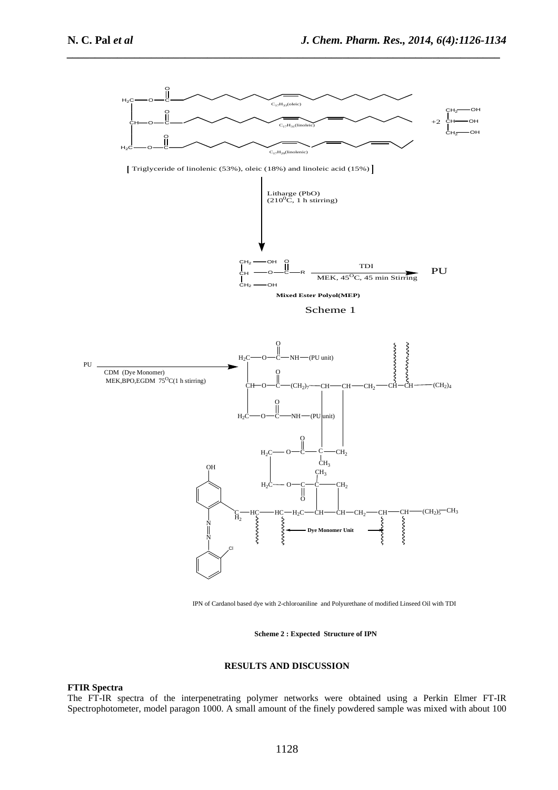

IPN of Cardanol based dye with 2-chloroaniline and Polyurethane of modified Linseed Oil with TDI

**Scheme 2 : Expected Structure of IPN**

#### **RESULTS AND DISCUSSION**

## **FTIR Spectra**

The FT-IR spectra of the interpenetrating polymer networks were obtained using a Perkin Elmer FT-IR Spectrophotometer, model paragon 1000. A small amount of the finely powdered sample was mixed with about 100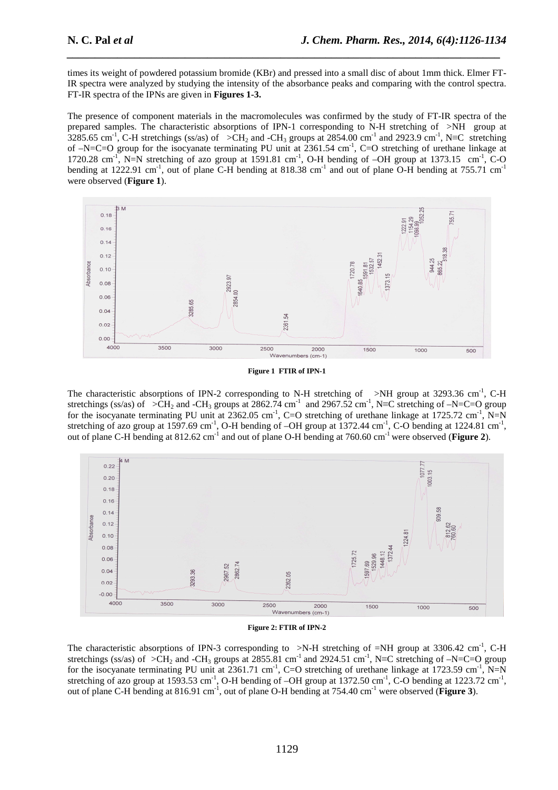times its weight of powdered potassium bromide (KBr) and pressed into a small disc of about 1mm thick. Elmer FT-IR spectra were analyzed by studying the intensity of the absorbance peaks and comparing with the control spectra. FT-IR spectra of the IPNs are given in **Figures 1-3.** 

*\_\_\_\_\_\_\_\_\_\_\_\_\_\_\_\_\_\_\_\_\_\_\_\_\_\_\_\_\_\_\_\_\_\_\_\_\_\_\_\_\_\_\_\_\_\_\_\_\_\_\_\_\_\_\_\_\_\_\_\_\_\_\_\_\_\_\_\_\_\_\_\_\_\_\_\_\_*

The presence of component materials in the macromolecules was confirmed by the study of FT-IR spectra of the prepared samples. The characteristic absorptions of IPN-1 corresponding to N-H stretching of >NH group at 3285.65 cm<sup>-1</sup>, C-H stretchings (ss/as) of >CH<sub>2</sub> and -CH<sub>3</sub> groups at 2854.00 cm<sup>-1</sup> and 2923.9 cm<sup>-1</sup>, N≡C stretching of  $-N=$ C=O group for the isocyanate terminating PU unit at  $2361.54$  cm<sup>-1</sup>, C=O stretching of urethane linkage at 1720.28 cm<sup>-1</sup>, N=N stretching of azo group at 1591.81 cm<sup>-1</sup>, O-H bending of  $-OH$  group at 1373.15 cm<sup>-1</sup>, C-O bending at 1222.91 cm<sup>-1</sup>, out of plane C-H bending at 818.38 cm<sup>-1</sup> and out of plane O-H bending at 755.71 cm<sup>-1</sup> were observed (**Figure 1**).



**Figure 1 FTIR of IPN-1** 

The characteristic absorptions of IPN-2 corresponding to N-H stretching of  $\rightarrow$ NH group at 3293.36 cm<sup>-1</sup>, C-H stretchings (ss/as) of >CH<sub>2</sub> and -CH<sub>3</sub> groups at 2862.74 cm<sup>-1</sup> and 2967.52 cm<sup>-1</sup>, N≡C stretching of –N=C=O group for the isocyanate terminating PU unit at  $2362.05$  cm<sup>-1</sup>, C=O stretching of urethane linkage at  $1725.72$  cm<sup>-1</sup>, N=N stretching of azo group at 1597.69 cm<sup>-1</sup>, O-H bending of  $-OH$  group at 1372.44 cm<sup>-1</sup>, C-O bending at 1224.81 cm<sup>-1</sup>, out of plane C-H bending at 812.62 cm<sup>-1</sup> and out of plane O-H bending at 760.60 cm<sup>-1</sup> were observed (**Figure 2**).





The characteristic absorptions of IPN-3 corresponding to  $\geq N-H$  stretching of  $=NH$  group at 3306.42 cm<sup>-1</sup>, C-H stretchings (ss/as) of >CH<sub>2</sub> and -CH<sub>3</sub> groups at 2855.81 cm<sup>-1</sup> and 2924.51 cm<sup>-1</sup>, N≡C stretching of -N=C=O group for the isocyanate terminating PU unit at  $2361.71 \text{ cm}^{-1}$ , C=O stretching of urethane linkage at  $1723.59 \text{ cm}^{-1}$ , N=N stretching of azo group at 1593.53 cm<sup>-1</sup>, O-H bending of  $-OH$  group at 1372.50 cm<sup>-1</sup>, C-O bending at 1223.72 cm<sup>-1</sup>, out of plane C-H bending at 816.91 cm<sup>-1</sup>, out of plane O-H bending at 754.40 cm<sup>-1</sup> were observed (**Figure 3**).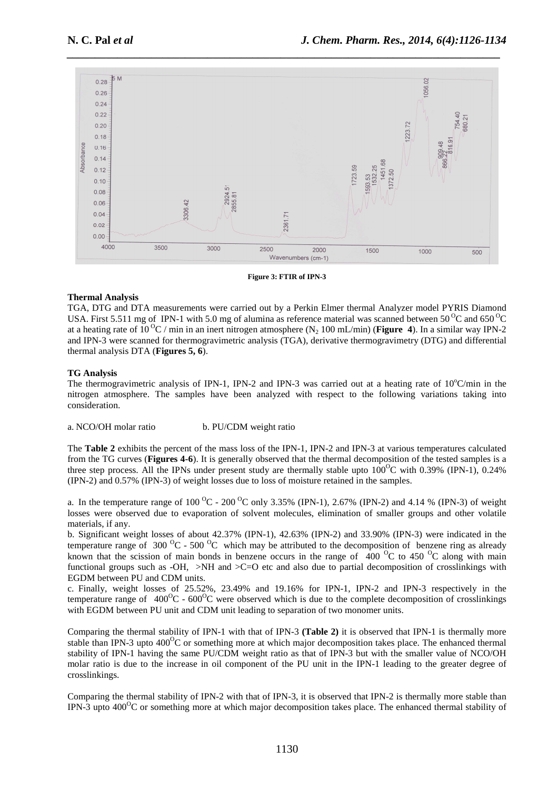

**Figure 3: FTIR of IPN-3** 

## **Thermal Analysis**

TGA, DTG and DTA measurements were carried out by a Perkin Elmer thermal Analyzer model PYRIS Diamond USA. First 5.511 mg of IPN-1 with 5.0 mg of alumina as reference material was scanned between 50<sup>o</sup>C and 650<sup>o</sup>C at a heating rate of  $10^{\circ}$ C / min in an inert nitrogen atmosphere (N<sub>2</sub> 100 mL/min) (**Figure 4**). In a similar way IPN-2 and IPN-3 were scanned for thermogravimetric analysis (TGA), derivative thermogravimetry (DTG) and differential thermal analysis DTA (**Figures 5, 6**).

#### **TG Analysis**

The thermogravimetric analysis of IPN-1, IPN-2 and IPN-3 was carried out at a heating rate of  $10^{\circ}$ C/min in the nitrogen atmosphere. The samples have been analyzed with respect to the following variations taking into consideration.

a. NCO/OH molar ratio b. PU/CDM weight ratio

The **Table 2** exhibits the percent of the mass loss of the IPN-1, IPN-2 and IPN-3 at various temperatures calculated from the TG curves (**Figures 4-6**). It is generally observed that the thermal decomposition of the tested samples is a three step process. All the IPNs under present study are thermally stable upto  $100^{\circ}$ C with 0.39% (IPN-1), 0.24% (IPN-2) and 0.57% (IPN-3) of weight losses due to loss of moisture retained in the samples.

a. In the temperature range of  $100^{\circ}$ C -  $200^{\circ}$ C only 3.35% (IPN-1), 2.67% (IPN-2) and 4.14 % (IPN-3) of weight losses were observed due to evaporation of solvent molecules, elimination of smaller groups and other volatile materials, if any.

b. Significant weight losses of about 42.37% (IPN-1), 42.63% (IPN-2) and 33.90% (IPN-3) were indicated in the temperature range of 300  $^{0}C$  - 500  $^{0}C$  which may be attributed to the decomposition of benzene ring as already known that the scission of main bonds in benzene occurs in the range of  $400<sup>o</sup>C$  to 450  $<sup>o</sup>C$  along with main</sup> functional groups such as -OH,  $>$ NH and  $>$ C=O etc and also due to partial decomposition of crosslinkings with EGDM between PU and CDM units.

c. Finally, weight losses of 25.52%, 23.49% and 19.16% for IPN-1, IPN-2 and IPN-3 respectively in the temperature range of  $400^{\circ}\text{C}$  -  $600^{\circ}\text{C}$  were observed which is due to the complete decomposition of crosslinkings with EGDM between PU unit and CDM unit leading to separation of two monomer units.

Comparing the thermal stability of IPN-1 with that of IPN-3 **(Table 2)** it is observed that IPN-1 is thermally more stable than IPN-3 upto  $400^{\circ}$ C or something more at which major decomposition takes place. The enhanced thermal stability of IPN-1 having the same PU/CDM weight ratio as that of IPN-3 but with the smaller value of NCO/OH molar ratio is due to the increase in oil component of the PU unit in the IPN-1 leading to the greater degree of crosslinkings.

Comparing the thermal stability of IPN-2 with that of IPN-3, it is observed that IPN-2 is thermally more stable than IPN-3 upto  $400^{\circ}$ C or something more at which major decomposition takes place. The enhanced thermal stability of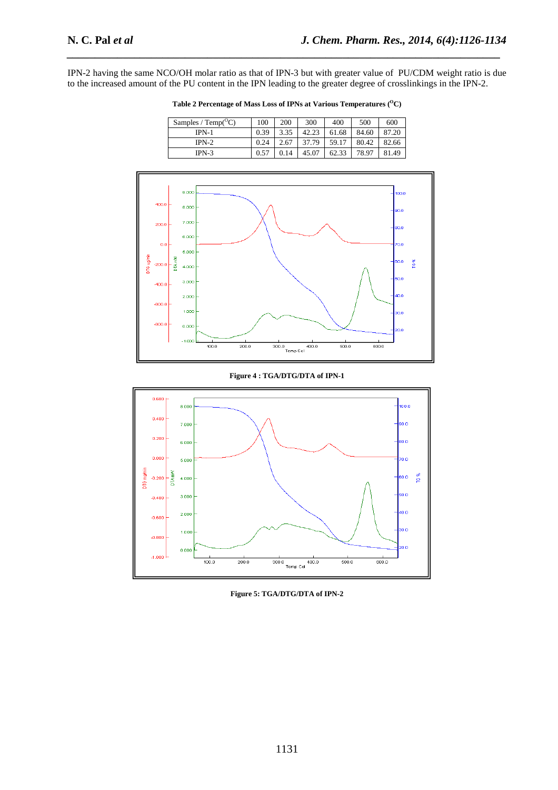IPN-2 having the same NCO/OH molar ratio as that of IPN-3 but with greater value of PU/CDM weight ratio is due to the increased amount of the PU content in the IPN leading to the greater degree of crosslinkings in the IPN-2.

*\_\_\_\_\_\_\_\_\_\_\_\_\_\_\_\_\_\_\_\_\_\_\_\_\_\_\_\_\_\_\_\_\_\_\_\_\_\_\_\_\_\_\_\_\_\_\_\_\_\_\_\_\_\_\_\_\_\_\_\_\_\_\_\_\_\_\_\_\_\_\_\_\_\_\_\_\_*

| Samples / $Temp^{\rm O}C$ ) | 100  | 200  | 300   | 400   | 500   | 600   |
|-----------------------------|------|------|-------|-------|-------|-------|
| $IPN-1$                     | 0.39 | 3.35 | 42.23 | 61.68 | 84.60 | 87.20 |
| $IPN-2$                     | 0.24 | 2.67 | 37.79 | 59.17 | 80.42 | 82.66 |
| $IPN-3$                     | 0.57 | 0.14 | 45.07 | 62.33 | 78.97 | 81.49 |

Table 2 Percentage of Mass Loss of IPNs at Various Temperatures  $(^{0}\mathrm{C})$ 



**Figure 4 : TGA/DTG/DTA of IPN-1** 



**Figure 5: TGA/DTG/DTA of IPN-2**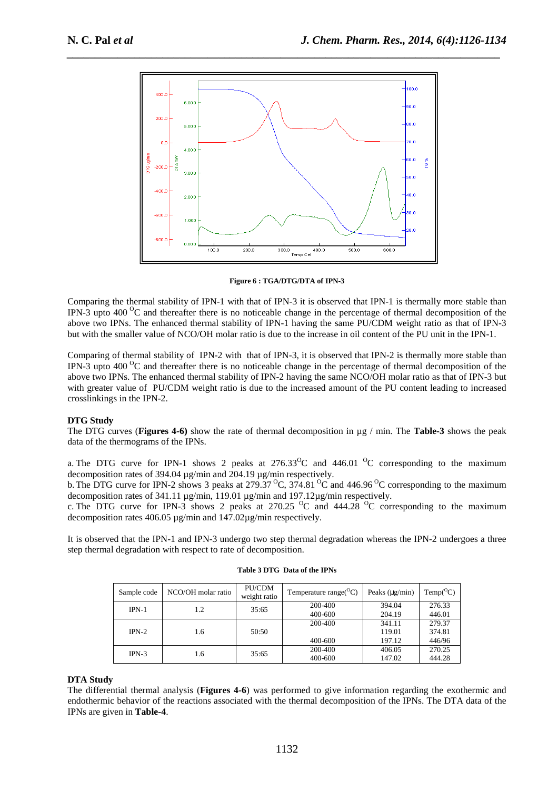

**Figure 6 : TGA/DTG/DTA of IPN-3** 

Comparing the thermal stability of IPN-1 with that of IPN-3 it is observed that IPN-1 is thermally more stable than IPN-3 upto 400 $\rm{^{\circ}C}$  and thereafter there is no noticeable change in the percentage of thermal decomposition of the above two IPNs. The enhanced thermal stability of IPN-1 having the same PU/CDM weight ratio as that of IPN-3 but with the smaller value of NCO/OH molar ratio is due to the increase in oil content of the PU unit in the IPN-1.

Comparing of thermal stability of IPN-2 with that of IPN-3, it is observed that IPN-2 is thermally more stable than IPN-3 upto 400<sup>o</sup>C and thereafter there is no noticeable change in the percentage of thermal decomposition of the above two IPNs. The enhanced thermal stability of IPN-2 having the same NCO/OH molar ratio as that of IPN-3 but with greater value of PU/CDM weight ratio is due to the increased amount of the PU content leading to increased crosslinkings in the IPN-2.

## **DTG Study**

The DTG curves (**Figures 4-6)** show the rate of thermal decomposition in µg / min. The **Table-3** shows the peak data of the thermograms of the IPNs.

a. The DTG curve for IPN-1 shows 2 peaks at  $276.33^{\circ}$ C and  $446.01^{\circ}$ C corresponding to the maximum decomposition rates of 394.04 µg/min and 204.19 µg/min respectively.

b. The DTG curve for IPN-2 shows 3 peaks at 279.37<sup>o</sup>C, 374.81<sup>o</sup>C and 446.96<sup>o</sup>C corresponding to the maximum decomposition rates of 341.11 µg/min, 119.01 µg/min and 197.12µg/min respectively.

c. The DTG curve for IPN-3 shows 2 peaks at 270.25  $\rm{^0C}$  and 444.28  $\rm{^0C}$  corresponding to the maximum decomposition rates 406.05 µg/min and 147.02µg/min respectively.

It is observed that the IPN-1 and IPN-3 undergo two step thermal degradation whereas the IPN-2 undergoes a three step thermal degradation with respect to rate of decomposition.

| Sample code | NCO/OH molar ratio | PU/CDM<br>weight ratio | Temperature range( ${}^{\circ}C$ ) | Peaks $(\mu g/min)$ | $Temp(^{O}C)$ |
|-------------|--------------------|------------------------|------------------------------------|---------------------|---------------|
| $IPN-1$     | 1.2                | 35:65                  | 200-400                            | 394.04              | 276.33        |
|             |                    |                        | 400-600                            | 204.19              | 446.01        |
|             |                    |                        | 200-400                            | 341.11              | 279.37        |
| $IPN-2$     | 1.6                | 50:50                  |                                    | 119.01              | 374.81        |
|             |                    |                        | 400-600                            | 197.12              | 446/96        |
| $IPN-3$     | 1.6                | 35:65                  | 200-400                            | 406.05              | 270.25        |
|             |                    |                        | 400-600                            | 147.02              | 444.28        |

#### **Table 3 DTG Data of the IPNs**

## **DTA Study**

The differential thermal analysis (**Figures 4-6**) was performed to give information regarding the exothermic and endothermic behavior of the reactions associated with the thermal decomposition of the IPNs. The DTA data of the IPNs are given in **Table-4**.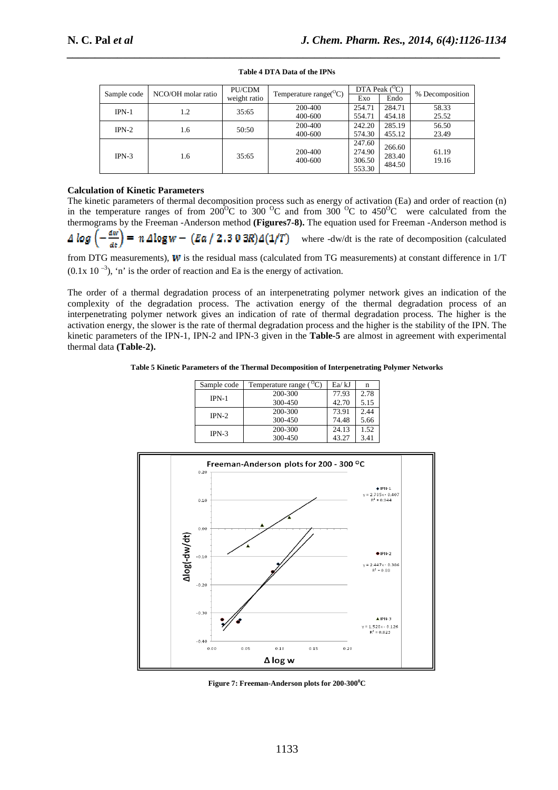| Sample code | NCO/OH molar ratio | PU/CDM<br>weight ratio | Temperature range( ${}^{\circ}$ C) | Exo    | DTA Peak $(^{\circ}C)$<br>Endo | % Decomposition                  |
|-------------|--------------------|------------------------|------------------------------------|--------|--------------------------------|----------------------------------|
|             |                    |                        |                                    |        | 284.71                         |                                  |
| $IPN-1$     | 1.2                | 35:65                  | 200-400                            | 254.71 |                                |                                  |
|             |                    |                        | 400-600                            | 554.71 | 454.18                         |                                  |
| $IPN-2$     | 1.6                | 50:50                  | 200-400                            | 242.20 | 285.19                         | 56.50                            |
|             |                    |                        | 400-600                            | 574.30 | 455.12                         | 23.49                            |
|             |                    |                        |                                    | 247.60 | 266.60                         |                                  |
| $IPN-3$     | 1.6                | 35:65                  | 200-400                            | 274.90 | 283.40                         | 58.33<br>25.52<br>61.19<br>19.16 |
|             |                    |                        | 400-600                            | 306.50 | 484.50                         |                                  |
|             |                    |                        |                                    | 553.30 |                                |                                  |

**Table 4 DTA Data of the IPNs** 

## **Calculation of Kinetic Parameters**

The kinetic parameters of thermal decomposition process such as energy of activation (Ea) and order of reaction (n) in the temperature ranges of from  $200^{\circ}$ C to  $300^{\circ}$ C and from  $300^{\circ}$ C to  $450^{\circ}$ C were calculated from the thermograms by the Freeman -Anderson method **(Figures7-8).** The equation used for Freeman -Anderson method is  $\frac{dw}{2}$ =  $n \Delta \log w - (Ea / 2.303R) \Delta (1/T)$  where -dw/dt is the rate of decomposition (calculated A log

from DTG measurements),  $W$  is the residual mass (calculated from TG measurements) at constant difference in  $1/T$  $(0.1x 10^{-3})$ , 'n' is the order of reaction and Ea is the energy of activation.

The order of a thermal degradation process of an interpenetrating polymer network gives an indication of the complexity of the degradation process. The activation energy of the thermal degradation process of an interpenetrating polymer network gives an indication of rate of thermal degradation process. The higher is the activation energy, the slower is the rate of thermal degradation process and the higher is the stability of the IPN. The kinetic parameters of the IPN-1, IPN-2 and IPN-3 given in the **Table-5** are almost in agreement with experimental thermal data **(Table-2).** 

**Table 5 Kinetic Parameters of the Thermal Decomposition of Interpenetrating Polymer Networks** 

| Sample code | Temperature range | Ea/kJ | n    |
|-------------|-------------------|-------|------|
| $IPN-1$     | 200-300           | 77.93 | 2.78 |
|             | 300-450           | 42.70 | 5.15 |
| $IPN-2$     | 200-300           | 73.91 | 2.44 |
|             | 300-450           | 74.48 | 5.66 |
| $IPN-3$     | 200-300           | 24.13 | 1.52 |
|             | 300-450           | 43.27 | 3.41 |



**Figure 7: Freeman-Anderson plots for 200-300<sup>0</sup>C**